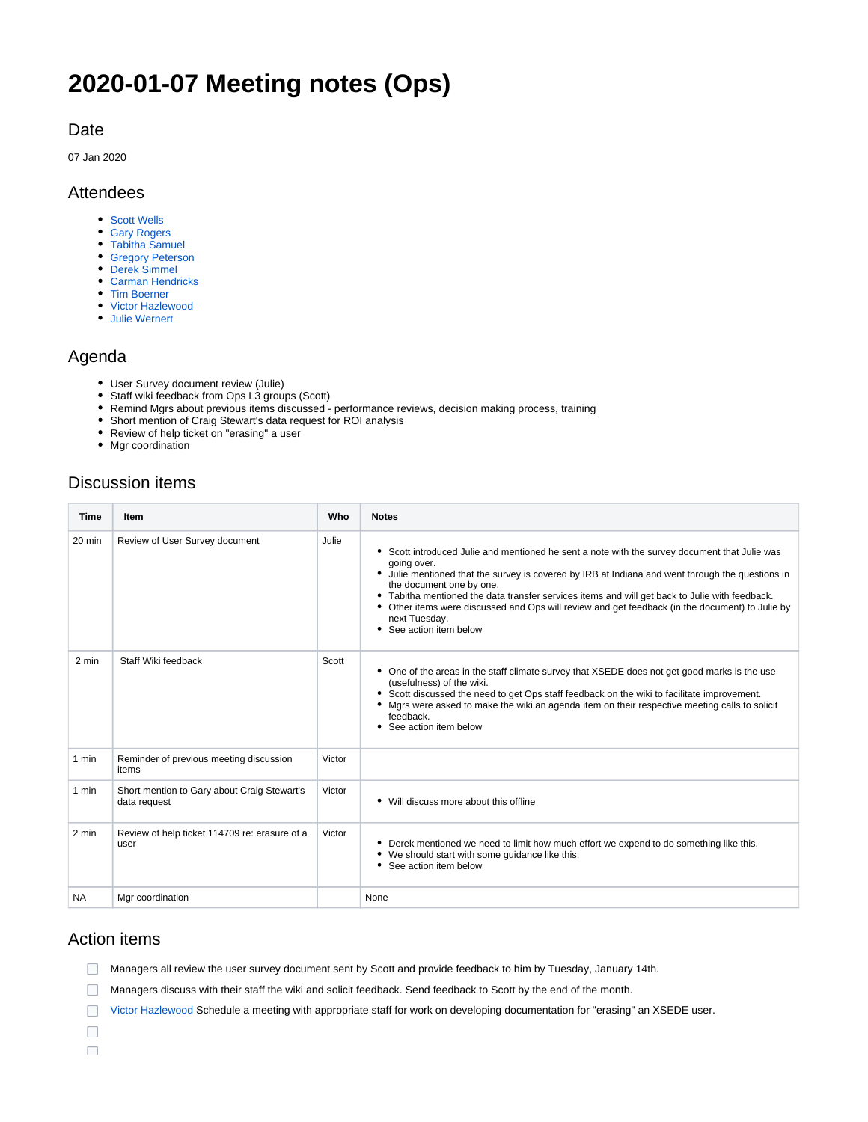# **2020-01-07 Meeting notes (Ops)**

#### Date

07 Jan 2020

#### Attendees

- [Scott Wells](https://confluence.xsede.org/display/~swells)
- [Gary Rogers](https://confluence.xsede.org/display/~grogers)
- [Tabitha Samuel](https://confluence.xsede.org/display/~tsamuel)
- [Gregory Peterson](https://confluence.xsede.org/display/~gdp) [Derek Simmel](https://confluence.xsede.org/display/~dsimmel)
- [Carman Hendricks](https://confluence.xsede.org/display/~carmanh)
- [Tim Boerner](https://confluence.xsede.org/display/~tboerner)
- [Victor Hazlewood](https://confluence.xsede.org/display/~victorh)
- [Julie Wernert](https://confluence.xsede.org/display/~jwernert)

#### Agenda

- User Survey document review (Julie)
- Staff wiki feedback from Ops L3 groups (Scott)
- Remind Mgrs about previous items discussed performance reviews, decision making process, training
- Short mention of Craig Stewart's data request for ROI analysis
- Review of help ticket on "erasing" a user
- Mgr coordination

## Discussion items

| <b>Time</b> | <b>Item</b>                                                 | Who    | <b>Notes</b>                                                                                                                                                                                                                                                                                                                                                                                                                                                                            |
|-------------|-------------------------------------------------------------|--------|-----------------------------------------------------------------------------------------------------------------------------------------------------------------------------------------------------------------------------------------------------------------------------------------------------------------------------------------------------------------------------------------------------------------------------------------------------------------------------------------|
| $20$ min    | Review of User Survey document                              | Julie  | • Scott introduced Julie and mentioned he sent a note with the survey document that Julie was<br>going over.<br>• Julie mentioned that the survey is covered by IRB at Indiana and went through the questions in<br>the document one by one.<br>Tabitha mentioned the data transfer services items and will get back to Julie with feedback.<br>Other items were discussed and Ops will review and get feedback (in the document) to Julie by<br>next Tuesday.<br>See action item below |
| 2 min       | Staff Wiki feedback                                         | Scott  | One of the areas in the staff climate survey that XSEDE does not get good marks is the use<br>(usefulness) of the wiki.<br>Scott discussed the need to get Ops staff feedback on the wiki to facilitate improvement.<br>Mgrs were asked to make the wiki an agenda item on their respective meeting calls to solicit<br>feedback.<br>See action item below                                                                                                                              |
| 1 min       | Reminder of previous meeting discussion<br>items            | Victor |                                                                                                                                                                                                                                                                                                                                                                                                                                                                                         |
| 1 min       | Short mention to Gary about Craig Stewart's<br>data request | Victor | Will discuss more about this offline                                                                                                                                                                                                                                                                                                                                                                                                                                                    |
| 2 min       | Review of help ticket 114709 re: erasure of a<br>user       | Victor | Derek mentioned we need to limit how much effort we expend to do something like this.<br>We should start with some quidance like this.<br>See action item below                                                                                                                                                                                                                                                                                                                         |
| <b>NA</b>   | Mgr coordination                                            |        | None                                                                                                                                                                                                                                                                                                                                                                                                                                                                                    |

### Action items

Managers all review the user survey document sent by Scott and provide feedback to him by Tuesday, January 14th.

Managers discuss with their staff the wiki and solicit feedback. Send feedback to Scott by the end of the month.

[Victor Hazlewood](https://confluence.xsede.org/display/~victorh) Schedule a meeting with appropriate staff for work on developing documentation for "erasing" an XSEDE user.

 $\Box$  $\Box$